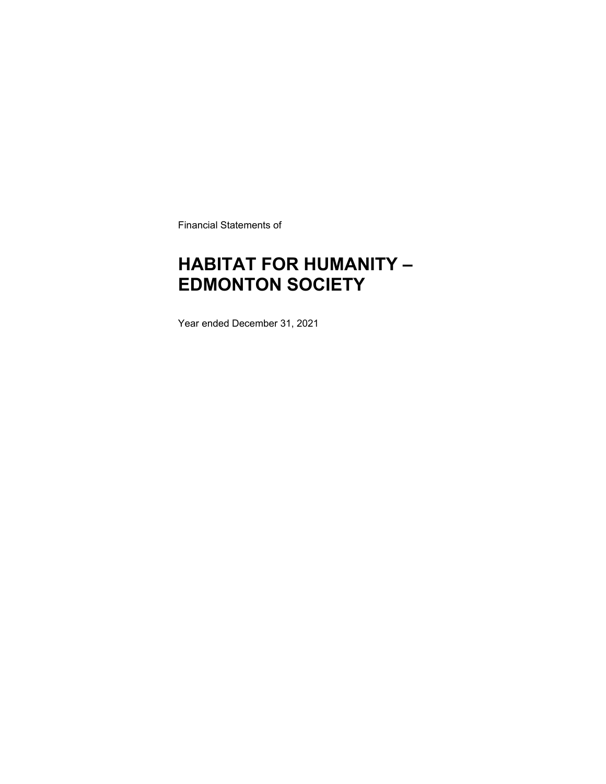Financial Statements of

## **HABITAT FOR HUMANITY – EDMONTON SOCIETY**

Year ended December 31, 2021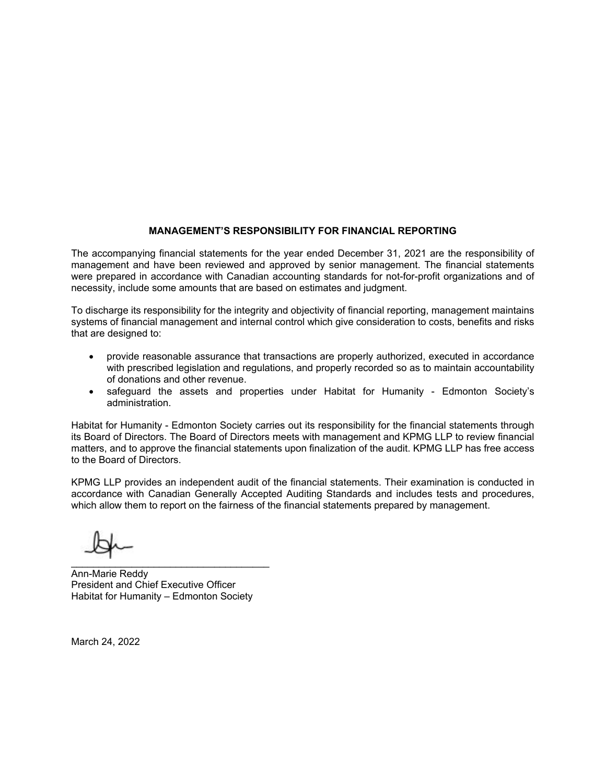### **MANAGEMENT'S RESPONSIBILITY FOR FINANCIAL REPORTING**

The accompanying financial statements for the year ended December 31, 2021 are the responsibility of management and have been reviewed and approved by senior management. The financial statements were prepared in accordance with Canadian accounting standards for not-for-profit organizations and of necessity, include some amounts that are based on estimates and judgment.

To discharge its responsibility for the integrity and objectivity of financial reporting, management maintains systems of financial management and internal control which give consideration to costs, benefits and risks that are designed to:

- provide reasonable assurance that transactions are properly authorized, executed in accordance with prescribed legislation and regulations, and properly recorded so as to maintain accountability of donations and other revenue.
- safeguard the assets and properties under Habitat for Humanity Edmonton Society's administration.

Habitat for Humanity - Edmonton Society carries out its responsibility for the financial statements through its Board of Directors. The Board of Directors meets with management and KPMG LLP to review financial matters, and to approve the financial statements upon finalization of the audit. KPMG LLP has free access to the Board of Directors.

KPMG LLP provides an independent audit of the financial statements. Their examination is conducted in accordance with Canadian Generally Accepted Auditing Standards and includes tests and procedures, which allow them to report on the fairness of the financial statements prepared by management.

 $\mathcal{L}_\text{max}$  , where  $\mathcal{L}_\text{max}$  and  $\mathcal{L}_\text{max}$  and  $\mathcal{L}_\text{max}$ 

Ann-Marie Reddy President and Chief Executive Officer Habitat for Humanity – Edmonton Society

March 24, 2022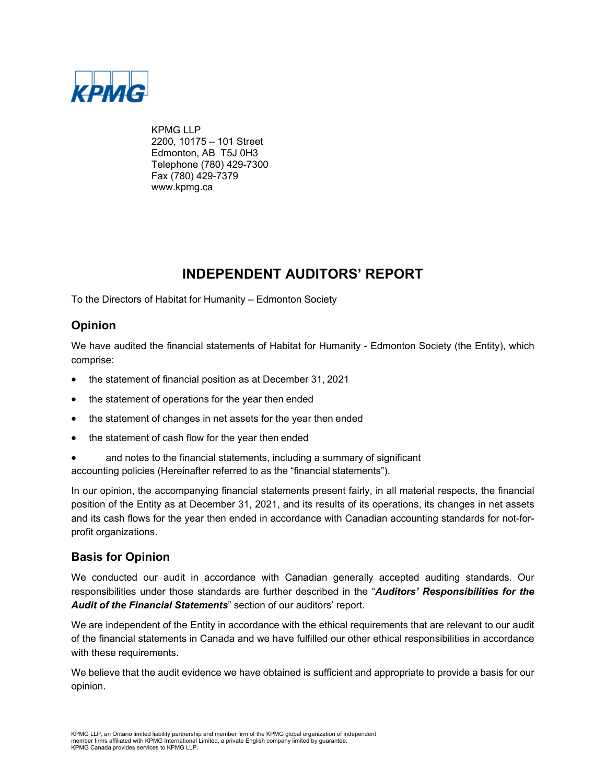

KPMG LLP 2200, 10175 – 101 Street Edmonton, AB T5J 0H3 Telephone (780) 429-7300 Fax (780) 429-7379 www.kpmg.ca

## **INDEPENDENT AUDITORS' REPORT**

To the Directors of Habitat for Humanity – Edmonton Society

## **Opinion**

We have audited the financial statements of Habitat for Humanity - Edmonton Society (the Entity), which comprise:

- the statement of financial position as at December 31, 2021
- the statement of operations for the year then ended
- the statement of changes in net assets for the year then ended
- the statement of cash flow for the year then ended
- and notes to the financial statements, including a summary of significant accounting policies (Hereinafter referred to as the "financial statements").

In our opinion, the accompanying financial statements present fairly, in all material respects, the financial position of the Entity as at December 31, 2021, and its results of its operations, its changes in net assets and its cash flows for the year then ended in accordance with Canadian accounting standards for not-forprofit organizations.

## **Basis for Opinion**

We conducted our audit in accordance with Canadian generally accepted auditing standards. Our responsibilities under those standards are further described in the "*Auditors' Responsibilities for the Audit of the Financial Statements*" section of our auditors' report.

We are independent of the Entity in accordance with the ethical requirements that are relevant to our audit of the financial statements in Canada and we have fulfilled our other ethical responsibilities in accordance with these requirements.

We believe that the audit evidence we have obtained is sufficient and appropriate to provide a basis for our opinion.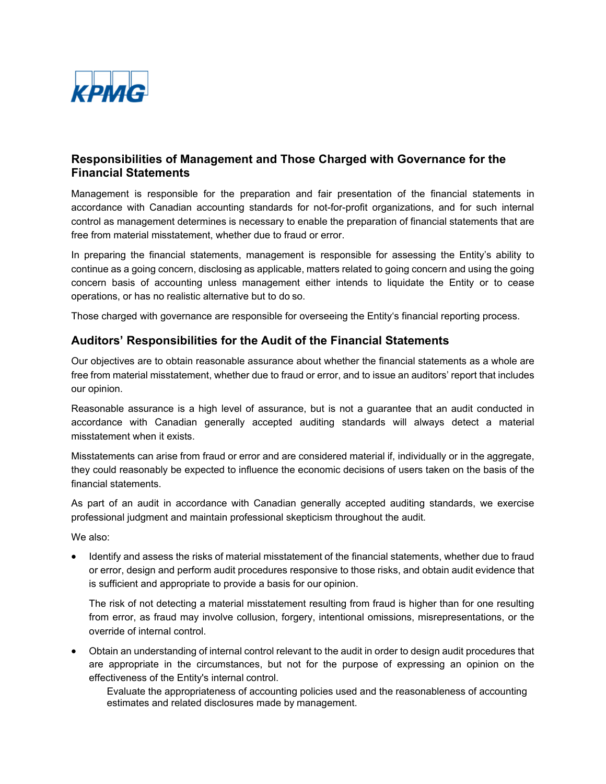

## **Responsibilities of Management and Those Charged with Governance for the Financial Statements**

Management is responsible for the preparation and fair presentation of the financial statements in accordance with Canadian accounting standards for not-for-profit organizations, and for such internal control as management determines is necessary to enable the preparation of financial statements that are free from material misstatement, whether due to fraud or error.

In preparing the financial statements, management is responsible for assessing the Entity's ability to continue as a going concern, disclosing as applicable, matters related to going concern and using the going concern basis of accounting unless management either intends to liquidate the Entity or to cease operations, or has no realistic alternative but to do so.

Those charged with governance are responsible for overseeing the Entity's financial reporting process.

### **Auditors' Responsibilities for the Audit of the Financial Statements**

Our objectives are to obtain reasonable assurance about whether the financial statements as a whole are free from material misstatement, whether due to fraud or error, and to issue an auditors' report that includes our opinion.

Reasonable assurance is a high level of assurance, but is not a guarantee that an audit conducted in accordance with Canadian generally accepted auditing standards will always detect a material misstatement when it exists.

Misstatements can arise from fraud or error and are considered material if, individually or in the aggregate, they could reasonably be expected to influence the economic decisions of users taken on the basis of the financial statements.

As part of an audit in accordance with Canadian generally accepted auditing standards, we exercise professional judgment and maintain professional skepticism throughout the audit.

We also:

 Identify and assess the risks of material misstatement of the financial statements, whether due to fraud or error, design and perform audit procedures responsive to those risks, and obtain audit evidence that is sufficient and appropriate to provide a basis for our opinion.

The risk of not detecting a material misstatement resulting from fraud is higher than for one resulting from error, as fraud may involve collusion, forgery, intentional omissions, misrepresentations, or the override of internal control.

 Obtain an understanding of internal control relevant to the audit in order to design audit procedures that are appropriate in the circumstances, but not for the purpose of expressing an opinion on the effectiveness of the Entity's internal control.

Evaluate the appropriateness of accounting policies used and the reasonableness of accounting estimates and related disclosures made by management.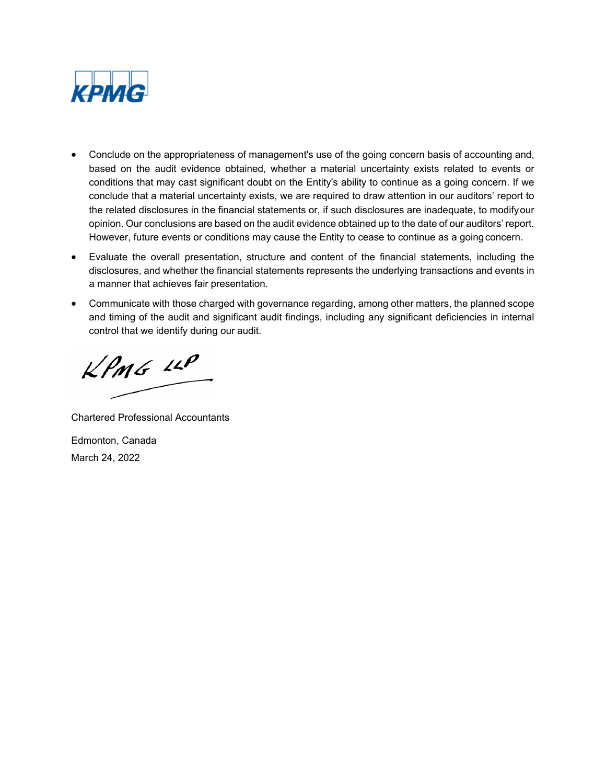

- Conclude on the appropriateness of management's use of the going concern basis of accounting and, based on the audit evidence obtained, whether a material uncertainty exists related to events or conditions that may cast significant doubt on the Entity's ability to continue as a going concern. If we conclude that a material uncertainty exists, we are required to draw attention in our auditors' report to the related disclosures in the financial statements or, if such disclosures are inadequate, to modify our opinion. Our conclusions are based on the audit evidence obtained up to the date of our auditors' report. However, future events or conditions may cause the Entity to cease to continue as a going concern.
- Evaluate the overall presentation, structure and content of the financial statements, including the disclosures, and whether the financial statements represents the underlying transactions and events in a manner that achieves fair presentation.
- Communicate with those charged with governance regarding, among other matters, the planned scope and timing of the audit and significant audit findings, including any significant deficiencies in internal control that we identify during our audit.

 $KPMG$  11P

Chartered Professional Accountants Edmonton, Canada March 24, 2022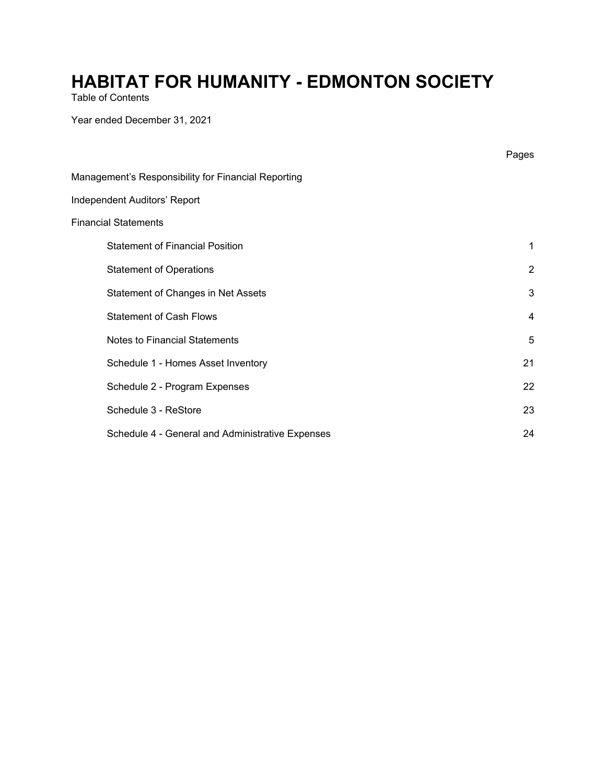Table of Contents

Year ended December 31, 2021

|                                                     | Pages          |
|-----------------------------------------------------|----------------|
| Management's Responsibility for Financial Reporting |                |
| Independent Auditors' Report                        |                |
| <b>Financial Statements</b>                         |                |
| <b>Statement of Financial Position</b>              | 1              |
| <b>Statement of Operations</b>                      | $\overline{2}$ |
| Statement of Changes in Net Assets                  | 3              |
| <b>Statement of Cash Flows</b>                      | 4              |
| <b>Notes to Financial Statements</b>                | 5              |
| Schedule 1 - Homes Asset Inventory                  | 21             |
| Schedule 2 - Program Expenses                       | 22             |
| Schedule 3 - ReStore                                | 23             |
| Schedule 4 - General and Administrative Expenses    | 24             |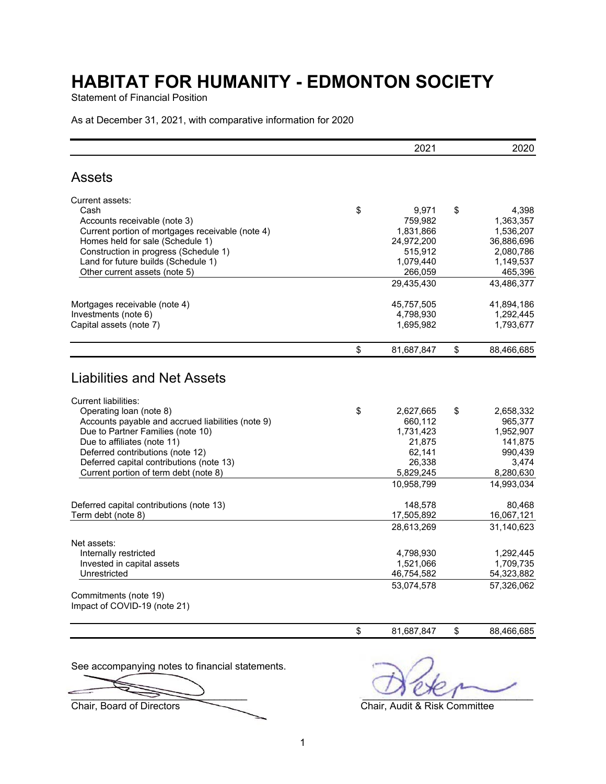Statement of Financial Position

As at December 31, 2021, with comparative information for 2020

|                                                                                        | 2021                    | 2020                    |
|----------------------------------------------------------------------------------------|-------------------------|-------------------------|
| <b>Assets</b>                                                                          |                         |                         |
| Current assets:                                                                        |                         |                         |
| Cash                                                                                   | \$<br>9,971             | \$<br>4,398             |
| Accounts receivable (note 3)                                                           | 759,982                 | 1,363,357               |
| Current portion of mortgages receivable (note 4)                                       | 1,831,866               | 1,536,207               |
| Homes held for sale (Schedule 1)                                                       | 24,972,200              | 36,886,696              |
| Construction in progress (Schedule 1)<br>Land for future builds (Schedule 1)           | 515,912<br>1,079,440    | 2,080,786<br>1,149,537  |
| Other current assets (note 5)                                                          | 266,059                 | 465,396                 |
|                                                                                        | 29,435,430              | 43,486,377              |
| Mortgages receivable (note 4)                                                          | 45,757,505              | 41,894,186              |
| Investments (note 6)                                                                   | 4,798,930               | 1,292,445               |
| Capital assets (note 7)                                                                | 1,695,982               | 1,793,677               |
|                                                                                        | \$<br>81,687,847        | \$<br>88,466,685        |
| <b>Liabilities and Net Assets</b>                                                      |                         |                         |
| <b>Current liabilities:</b>                                                            |                         |                         |
| Operating loan (note 8)                                                                | \$<br>2,627,665         | \$<br>2,658,332         |
| Accounts payable and accrued liabilities (note 9)<br>Due to Partner Families (note 10) | 660,112<br>1,731,423    | 965,377<br>1,952,907    |
| Due to affiliates (note 11)                                                            | 21,875                  | 141,875                 |
| Deferred contributions (note 12)                                                       | 62,141                  | 990,439                 |
| Deferred capital contributions (note 13)                                               | 26,338                  | 3,474                   |
| Current portion of term debt (note 8)                                                  | 5,829,245               | 8,280,630               |
|                                                                                        | 10,958,799              | 14,993,034              |
| Deferred capital contributions (note 13)                                               | 148,578                 | 80,468                  |
| Term debt (note 8)                                                                     | 17,505,892              | 16,067,121              |
|                                                                                        | 28,613,269              | 31,140,623              |
| Net assets:                                                                            |                         |                         |
| Internally restricted                                                                  | 4,798,930               | 1,292,445               |
| Invested in capital assets<br>Unrestricted                                             | 1,521,066<br>46,754,582 | 1,709,735<br>54,323,882 |
|                                                                                        | 53,074,578              | 57,326,062              |
| Commitments (note 19)<br>Impact of COVID-19 (note 21)                                  |                         |                         |
|                                                                                        | \$<br>81,687,847        | \$<br>88,466,685        |

See accompanying notes to financial statements.

\_\_\_\_\_\_\_\_\_\_\_\_\_\_\_\_\_\_\_\_\_\_\_\_\_\_\_\_\_\_\_\_ \_\_\_\_\_\_\_\_\_\_\_\_\_\_\_\_\_\_\_\_\_\_\_\_\_\_\_\_\_\_\_ Chair, Board of Directors Chair, Audit & Risk Committee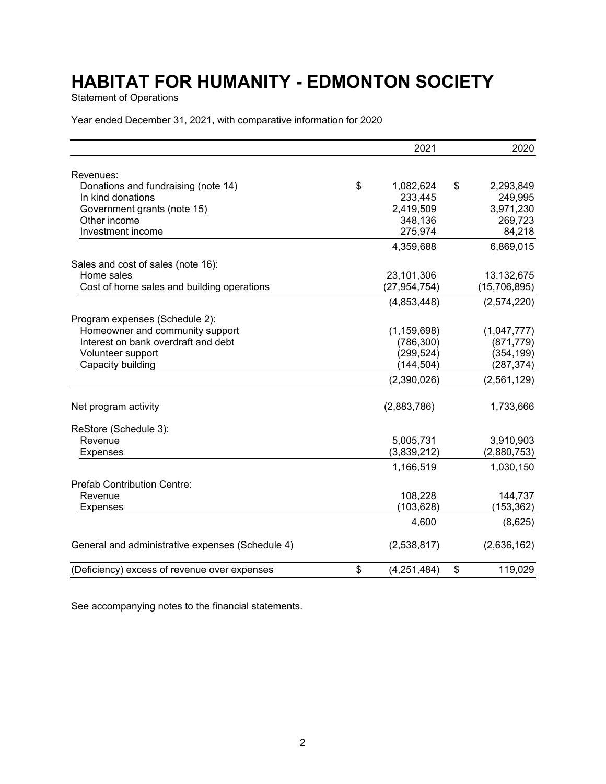Statement of Operations

Year ended December 31, 2021, with comparative information for 2020

|                                                  | 2021              | 2020            |
|--------------------------------------------------|-------------------|-----------------|
| Revenues:                                        |                   |                 |
| Donations and fundraising (note 14)              | \$<br>1,082,624   | \$<br>2,293,849 |
| In kind donations                                | 233,445           | 249,995         |
| Government grants (note 15)                      | 2,419,509         | 3,971,230       |
| Other income                                     | 348,136           | 269,723         |
| Investment income                                | 275,974           | 84,218          |
|                                                  | 4,359,688         | 6,869,015       |
| Sales and cost of sales (note 16):               |                   |                 |
| Home sales                                       | 23,101,306        | 13,132,675      |
| Cost of home sales and building operations       | (27, 954, 754)    | (15, 706, 895)  |
|                                                  | (4,853,448)       | (2,574,220)     |
| Program expenses (Schedule 2):                   |                   |                 |
| Homeowner and community support                  | (1, 159, 698)     | (1,047,777)     |
| Interest on bank overdraft and debt              | (786, 300)        | (871, 779)      |
| Volunteer support                                | (299, 524)        | (354, 199)      |
| Capacity building                                | (144, 504)        | (287, 374)      |
|                                                  | (2,390,026)       | (2,561,129)     |
| Net program activity                             | (2,883,786)       | 1,733,666       |
| ReStore (Schedule 3):                            |                   |                 |
| Revenue                                          | 5,005,731         | 3,910,903       |
| <b>Expenses</b>                                  | (3,839,212)       | (2,880,753)     |
|                                                  | 1,166,519         | 1,030,150       |
| <b>Prefab Contribution Centre:</b>               |                   |                 |
| Revenue                                          | 108,228           | 144,737         |
| <b>Expenses</b>                                  | (103, 628)        | (153, 362)      |
|                                                  | 4,600             | (8,625)         |
| General and administrative expenses (Schedule 4) | (2,538,817)       | (2,636,162)     |
| (Deficiency) excess of revenue over expenses     | \$<br>(4,251,484) | \$<br>119,029   |

See accompanying notes to the financial statements.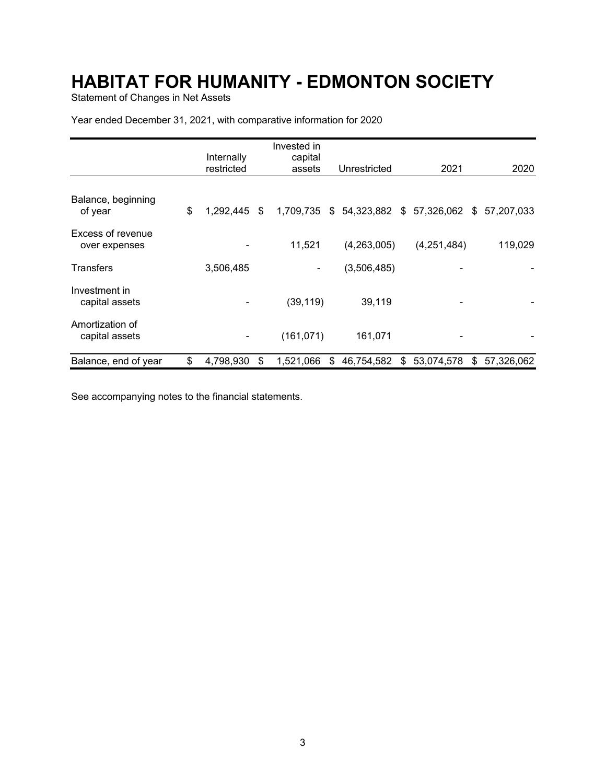Statement of Changes in Net Assets

Year ended December 31, 2021, with comparative information for 2020

|                                    | Internally<br>restricted | Invested in<br>capital<br>assets | Unrestricted                             | 2021             | 2020             |
|------------------------------------|--------------------------|----------------------------------|------------------------------------------|------------------|------------------|
|                                    |                          |                                  |                                          |                  |                  |
| Balance, beginning<br>of year      | \$<br>1,292,445 \$       |                                  | 1,709,735 \$ 54,323,882 \$ 57,326,062 \$ |                  | 57,207,033       |
| Excess of revenue<br>over expenses |                          | 11,521                           | (4,263,005)                              | (4,251,484)      | 119,029          |
| <b>Transfers</b>                   | 3,506,485                |                                  | (3,506,485)                              |                  |                  |
| Investment in<br>capital assets    |                          | (39, 119)                        | 39,119                                   |                  |                  |
| Amortization of<br>capital assets  | ٠                        | (161, 071)                       | 161,071                                  |                  |                  |
| Balance, end of year               | \$<br>4,798,930          | \$<br>1,521,066                  | \$<br>46,754,582                         | \$<br>53,074,578 | \$<br>57,326,062 |

See accompanying notes to the financial statements.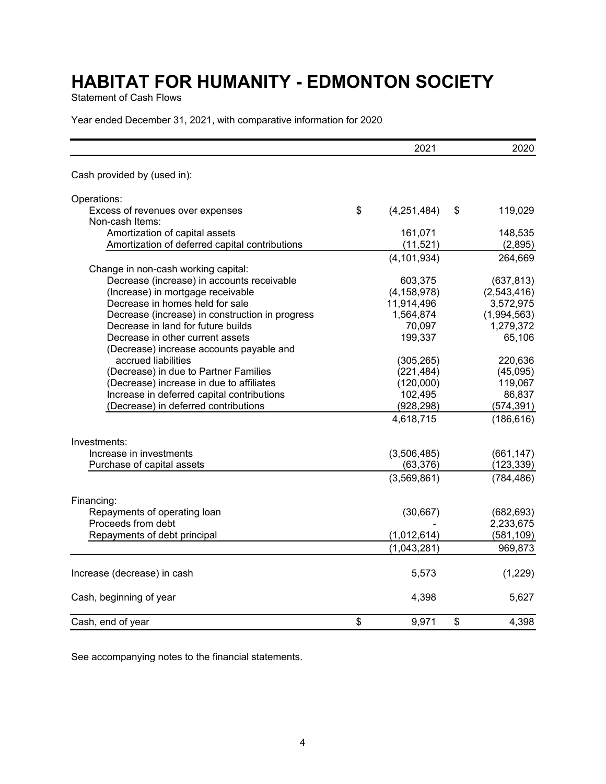Statement of Cash Flows

Year ended December 31, 2021, with comparative information for 2020

|                                                 | 2021                | 2020          |  |
|-------------------------------------------------|---------------------|---------------|--|
| Cash provided by (used in):                     |                     |               |  |
| Operations:                                     |                     |               |  |
| Excess of revenues over expenses                | \$<br>(4, 251, 484) | \$<br>119,029 |  |
| Non-cash Items:                                 |                     |               |  |
| Amortization of capital assets                  | 161,071             | 148,535       |  |
| Amortization of deferred capital contributions  | (11, 521)           | (2,895)       |  |
|                                                 | (4, 101, 934)       | 264,669       |  |
| Change in non-cash working capital:             |                     |               |  |
| Decrease (increase) in accounts receivable      | 603,375             | (637, 813)    |  |
| (Increase) in mortgage receivable               | (4, 158, 978)       | (2,543,416)   |  |
| Decrease in homes held for sale                 | 11,914,496          | 3,572,975     |  |
| Decrease (increase) in construction in progress | 1,564,874           | (1,994,563)   |  |
| Decrease in land for future builds              | 70,097              | 1,279,372     |  |
| Decrease in other current assets                | 199,337             | 65,106        |  |
| (Decrease) increase accounts payable and        |                     |               |  |
| accrued liabilities                             | (305, 265)          | 220,636       |  |
| (Decrease) in due to Partner Families           | (221, 484)          | (45,095)      |  |
| (Decrease) increase in due to affiliates        | (120,000)           | 119,067       |  |
| Increase in deferred capital contributions      | 102,495             | 86,837        |  |
| (Decrease) in deferred contributions            | (928, 298)          | (574, 391)    |  |
|                                                 | 4,618,715           | (186, 616)    |  |
| Investments:                                    |                     |               |  |
| Increase in investments                         | (3,506,485)         | (661, 147)    |  |
| Purchase of capital assets                      | (63, 376)           | (123, 339)    |  |
|                                                 | (3,569,861)         | (784, 486)    |  |
| Financing:                                      |                     |               |  |
| Repayments of operating loan                    | (30, 667)           | (682, 693)    |  |
| Proceeds from debt                              |                     | 2,233,675     |  |
| Repayments of debt principal                    | (1,012,614)         | (581, 109)    |  |
|                                                 | (1,043,281)         | 969,873       |  |
| Increase (decrease) in cash                     | 5,573               | (1,229)       |  |
| Cash, beginning of year                         | 4,398               | 5,627         |  |
| Cash, end of year                               | \$<br>9,971         | \$<br>4,398   |  |

See accompanying notes to the financial statements.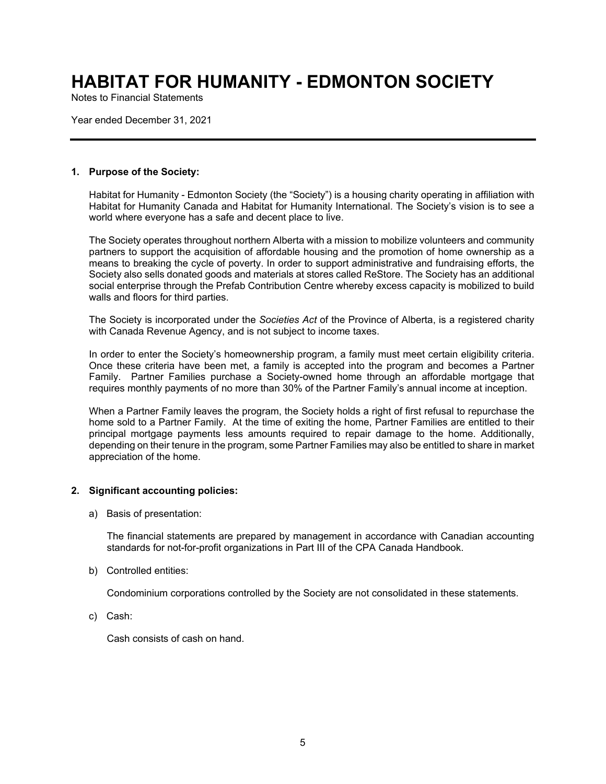Notes to Financial Statements

Year ended December 31, 2021

### **1. Purpose of the Society:**

Habitat for Humanity - Edmonton Society (the "Society") is a housing charity operating in affiliation with Habitat for Humanity Canada and Habitat for Humanity International. The Society's vision is to see a world where everyone has a safe and decent place to live.

The Society operates throughout northern Alberta with a mission to mobilize volunteers and community partners to support the acquisition of affordable housing and the promotion of home ownership as a means to breaking the cycle of poverty. In order to support administrative and fundraising efforts, the Society also sells donated goods and materials at stores called ReStore. The Society has an additional social enterprise through the Prefab Contribution Centre whereby excess capacity is mobilized to build walls and floors for third parties.

The Society is incorporated under the *Societies Act* of the Province of Alberta, is a registered charity with Canada Revenue Agency, and is not subject to income taxes.

In order to enter the Society's homeownership program, a family must meet certain eligibility criteria. Once these criteria have been met, a family is accepted into the program and becomes a Partner Family. Partner Families purchase a Society-owned home through an affordable mortgage that requires monthly payments of no more than 30% of the Partner Family's annual income at inception.

When a Partner Family leaves the program, the Society holds a right of first refusal to repurchase the home sold to a Partner Family. At the time of exiting the home, Partner Families are entitled to their principal mortgage payments less amounts required to repair damage to the home. Additionally, depending on their tenure in the program, some Partner Families may also be entitled to share in market appreciation of the home.

### **2. Significant accounting policies:**

a) Basis of presentation:

The financial statements are prepared by management in accordance with Canadian accounting standards for not-for-profit organizations in Part III of the CPA Canada Handbook.

b) Controlled entities:

Condominium corporations controlled by the Society are not consolidated in these statements.

c) Cash:

Cash consists of cash on hand.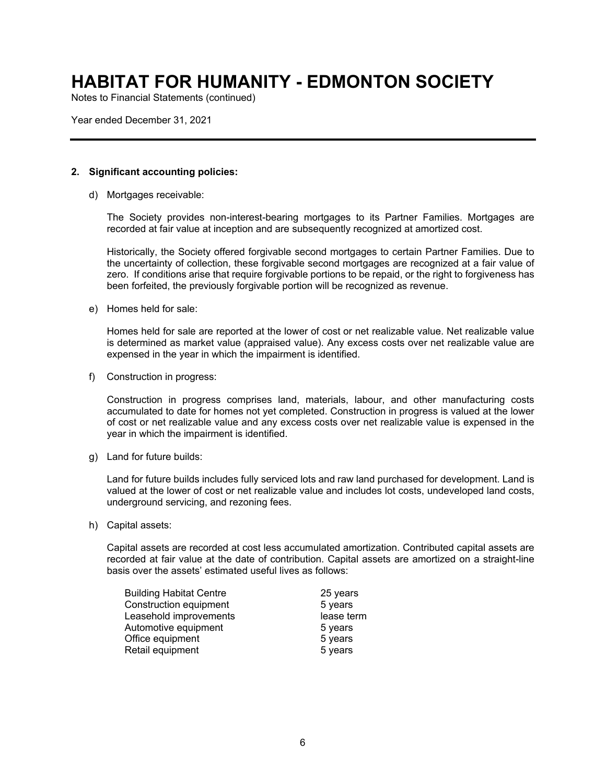Notes to Financial Statements (continued)

Year ended December 31, 2021

#### **2. Significant accounting policies:**

d) Mortgages receivable:

The Society provides non-interest-bearing mortgages to its Partner Families. Mortgages are recorded at fair value at inception and are subsequently recognized at amortized cost.

Historically, the Society offered forgivable second mortgages to certain Partner Families. Due to the uncertainty of collection, these forgivable second mortgages are recognized at a fair value of zero. If conditions arise that require forgivable portions to be repaid, or the right to forgiveness has been forfeited, the previously forgivable portion will be recognized as revenue.

e) Homes held for sale:

Homes held for sale are reported at the lower of cost or net realizable value. Net realizable value is determined as market value (appraised value). Any excess costs over net realizable value are expensed in the year in which the impairment is identified.

f) Construction in progress:

Construction in progress comprises land, materials, labour, and other manufacturing costs accumulated to date for homes not yet completed. Construction in progress is valued at the lower of cost or net realizable value and any excess costs over net realizable value is expensed in the year in which the impairment is identified.

g) Land for future builds:

Land for future builds includes fully serviced lots and raw land purchased for development. Land is valued at the lower of cost or net realizable value and includes lot costs, undeveloped land costs, underground servicing, and rezoning fees.

h) Capital assets:

Capital assets are recorded at cost less accumulated amortization. Contributed capital assets are recorded at fair value at the date of contribution. Capital assets are amortized on a straight-line basis over the assets' estimated useful lives as follows:

| <b>Building Habitat Centre</b> | 25 years   |
|--------------------------------|------------|
| Construction equipment         | 5 years    |
| Leasehold improvements         | lease term |
| Automotive equipment           | 5 years    |
| Office equipment               | 5 years    |
| Retail equipment               | 5 years    |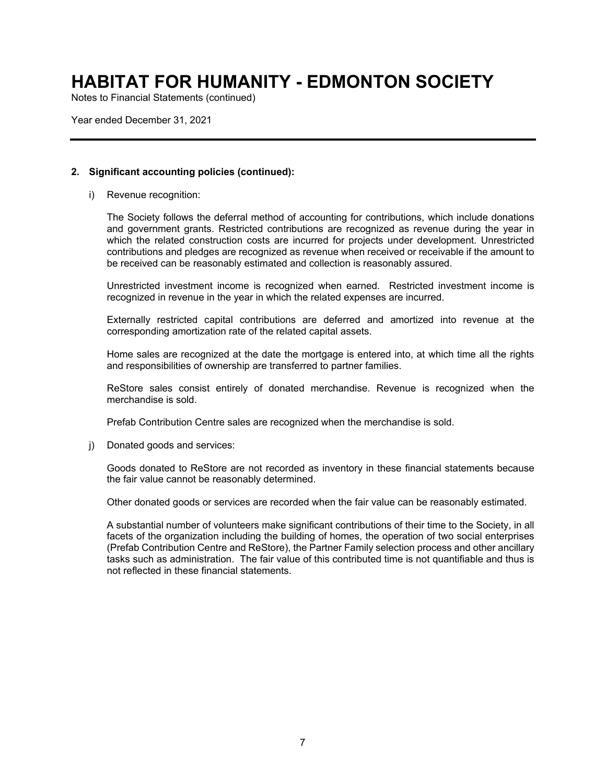Notes to Financial Statements (continued)

Year ended December 31, 2021

### **2. Significant accounting policies (continued):**

i) Revenue recognition:

The Society follows the deferral method of accounting for contributions, which include donations and government grants. Restricted contributions are recognized as revenue during the year in which the related construction costs are incurred for projects under development. Unrestricted contributions and pledges are recognized as revenue when received or receivable if the amount to be received can be reasonably estimated and collection is reasonably assured.

Unrestricted investment income is recognized when earned. Restricted investment income is recognized in revenue in the year in which the related expenses are incurred.

Externally restricted capital contributions are deferred and amortized into revenue at the corresponding amortization rate of the related capital assets.

Home sales are recognized at the date the mortgage is entered into, at which time all the rights and responsibilities of ownership are transferred to partner families.

ReStore sales consist entirely of donated merchandise. Revenue is recognized when the merchandise is sold.

Prefab Contribution Centre sales are recognized when the merchandise is sold.

j) Donated goods and services:

Goods donated to ReStore are not recorded as inventory in these financial statements because the fair value cannot be reasonably determined.

Other donated goods or services are recorded when the fair value can be reasonably estimated.

A substantial number of volunteers make significant contributions of their time to the Society, in all facets of the organization including the building of homes, the operation of two social enterprises (Prefab Contribution Centre and ReStore), the Partner Family selection process and other ancillary tasks such as administration. The fair value of this contributed time is not quantifiable and thus is not reflected in these financial statements.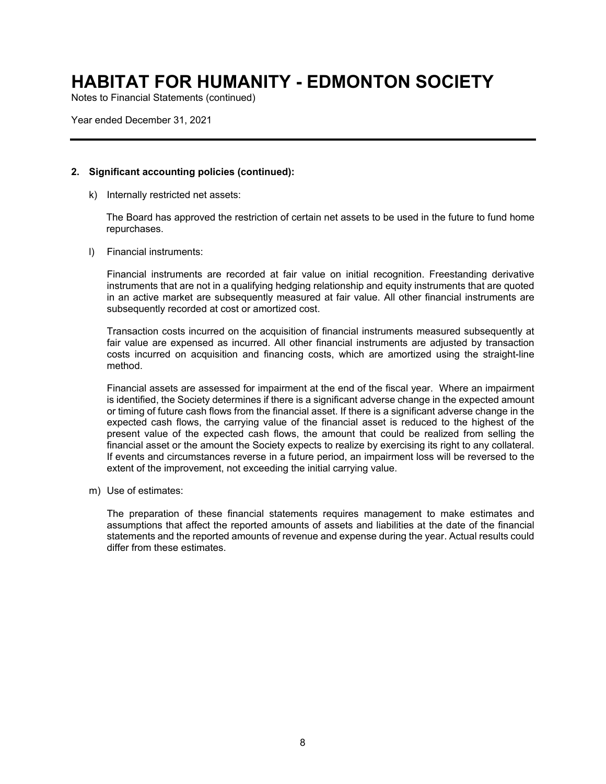Notes to Financial Statements (continued)

Year ended December 31, 2021

### **2. Significant accounting policies (continued):**

k) Internally restricted net assets:

The Board has approved the restriction of certain net assets to be used in the future to fund home repurchases.

l) Financial instruments:

Financial instruments are recorded at fair value on initial recognition. Freestanding derivative instruments that are not in a qualifying hedging relationship and equity instruments that are quoted in an active market are subsequently measured at fair value. All other financial instruments are subsequently recorded at cost or amortized cost.

Transaction costs incurred on the acquisition of financial instruments measured subsequently at fair value are expensed as incurred. All other financial instruments are adjusted by transaction costs incurred on acquisition and financing costs, which are amortized using the straight-line method.

Financial assets are assessed for impairment at the end of the fiscal year. Where an impairment is identified, the Society determines if there is a significant adverse change in the expected amount or timing of future cash flows from the financial asset. If there is a significant adverse change in the expected cash flows, the carrying value of the financial asset is reduced to the highest of the present value of the expected cash flows, the amount that could be realized from selling the financial asset or the amount the Society expects to realize by exercising its right to any collateral. If events and circumstances reverse in a future period, an impairment loss will be reversed to the extent of the improvement, not exceeding the initial carrying value.

m) Use of estimates:

The preparation of these financial statements requires management to make estimates and assumptions that affect the reported amounts of assets and liabilities at the date of the financial statements and the reported amounts of revenue and expense during the year. Actual results could differ from these estimates.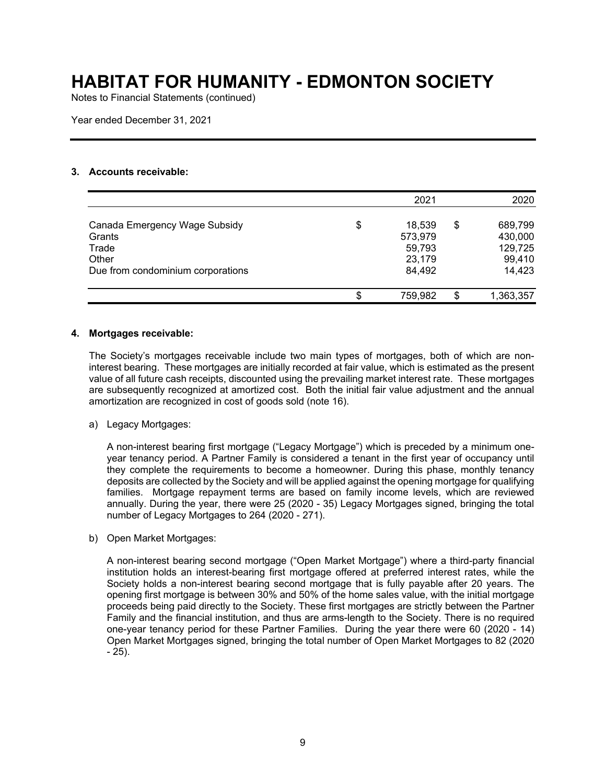Notes to Financial Statements (continued)

Year ended December 31, 2021

#### **3. Accounts receivable:**

|                                                                                                | 2021                                                  | 2020                                                    |
|------------------------------------------------------------------------------------------------|-------------------------------------------------------|---------------------------------------------------------|
| Canada Emergency Wage Subsidy<br>Grants<br>Trade<br>Other<br>Due from condominium corporations | \$<br>18,539<br>573,979<br>59,793<br>23,179<br>84,492 | \$<br>689,799<br>430,000<br>129,725<br>99,410<br>14,423 |
|                                                                                                | \$<br>759,982                                         | \$<br>1,363,357                                         |

#### **4. Mortgages receivable:**

The Society's mortgages receivable include two main types of mortgages, both of which are noninterest bearing. These mortgages are initially recorded at fair value, which is estimated as the present value of all future cash receipts, discounted using the prevailing market interest rate. These mortgages are subsequently recognized at amortized cost. Both the initial fair value adjustment and the annual amortization are recognized in cost of goods sold (note 16).

a) Legacy Mortgages:

A non-interest bearing first mortgage ("Legacy Mortgage") which is preceded by a minimum oneyear tenancy period. A Partner Family is considered a tenant in the first year of occupancy until they complete the requirements to become a homeowner. During this phase, monthly tenancy deposits are collected by the Society and will be applied against the opening mortgage for qualifying families. Mortgage repayment terms are based on family income levels, which are reviewed annually. During the year, there were 25 (2020 - 35) Legacy Mortgages signed, bringing the total number of Legacy Mortgages to 264 (2020 - 271).

b) Open Market Mortgages:

A non-interest bearing second mortgage ("Open Market Mortgage") where a third-party financial institution holds an interest-bearing first mortgage offered at preferred interest rates, while the Society holds a non-interest bearing second mortgage that is fully payable after 20 years. The opening first mortgage is between 30% and 50% of the home sales value, with the initial mortgage proceeds being paid directly to the Society. These first mortgages are strictly between the Partner Family and the financial institution, and thus are arms-length to the Society. There is no required one-year tenancy period for these Partner Families. During the year there were 60 (2020 - 14) Open Market Mortgages signed, bringing the total number of Open Market Mortgages to 82 (2020 - 25).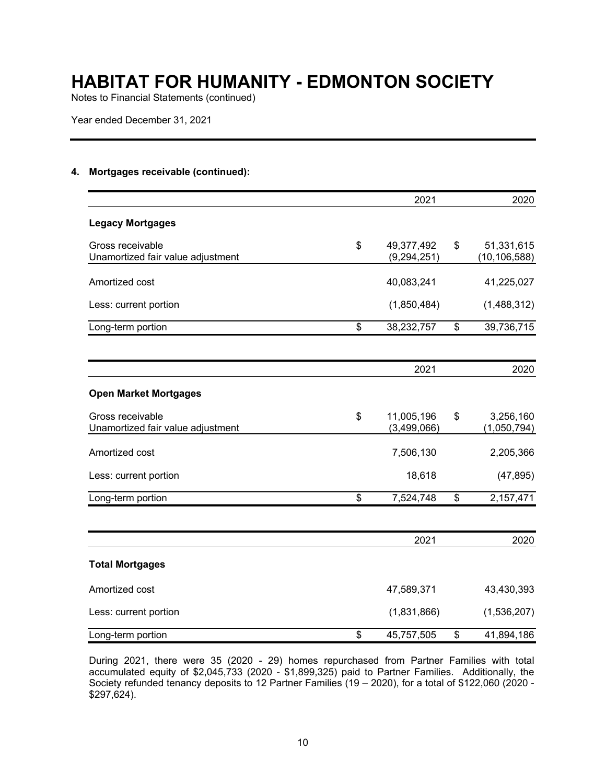Notes to Financial Statements (continued)

Year ended December 31, 2021

### **4. Mortgages receivable (continued):**

|                                                       | 2021                              | 2020                               |
|-------------------------------------------------------|-----------------------------------|------------------------------------|
| <b>Legacy Mortgages</b>                               |                                   |                                    |
| Gross receivable<br>Unamortized fair value adjustment | \$<br>49,377,492<br>(9, 294, 251) | \$<br>51,331,615<br>(10, 106, 588) |
| Amortized cost                                        | 40,083,241                        | 41,225,027                         |
| Less: current portion                                 | (1,850,484)                       | (1,488,312)                        |
| Long-term portion                                     | \$<br>38,232,757                  | \$<br>39,736,715                   |
|                                                       | 2021                              | 2020                               |
| <b>Open Market Mortgages</b>                          |                                   |                                    |
| Gross receivable<br>Unamortized fair value adjustment | \$<br>11,005,196<br>(3,499,066)   | \$<br>3,256,160<br>(1,050,794)     |
| Amortized cost                                        | 7,506,130                         | 2,205,366                          |
| Less: current portion                                 | 18,618                            | (47, 895)                          |
| Long-term portion                                     | \$<br>7,524,748                   | \$<br>2, 157, 471                  |
|                                                       | 2021                              | 2020                               |
| <b>Total Mortgages</b>                                |                                   |                                    |
| Amortized cost                                        | 47,589,371                        | 43,430,393                         |
| Less: current portion                                 | (1,831,866)                       | (1,536,207)                        |
| Long-term portion                                     | \$<br>45,757,505                  | \$<br>41,894,186                   |

During 2021, there were 35 (2020 - 29) homes repurchased from Partner Families with total accumulated equity of \$2,045,733 (2020 - \$1,899,325) paid to Partner Families. Additionally, the Society refunded tenancy deposits to 12 Partner Families (19 – 2020), for a total of \$122,060 (2020 - \$297,624).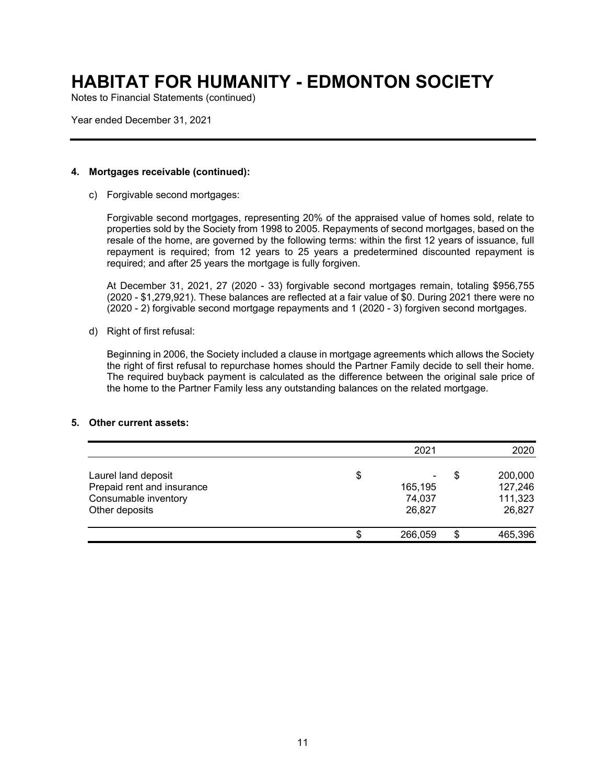Notes to Financial Statements (continued)

Year ended December 31, 2021

#### **4. Mortgages receivable (continued):**

c) Forgivable second mortgages:

Forgivable second mortgages, representing 20% of the appraised value of homes sold, relate to properties sold by the Society from 1998 to 2005. Repayments of second mortgages, based on the resale of the home, are governed by the following terms: within the first 12 years of issuance, full repayment is required; from 12 years to 25 years a predetermined discounted repayment is required; and after 25 years the mortgage is fully forgiven.

At December 31, 2021, 27 (2020 - 33) forgivable second mortgages remain, totaling \$956,755 (2020 - \$1,279,921). These balances are reflected at a fair value of \$0. During 2021 there were no (2020 - 2) forgivable second mortgage repayments and 1 (2020 - 3) forgiven second mortgages.

d) Right of first refusal:

Beginning in 2006, the Society included a clause in mortgage agreements which allows the Society the right of first refusal to repurchase homes should the Partner Family decide to sell their home. The required buyback payment is calculated as the difference between the original sale price of the home to the Partner Family less any outstanding balances on the related mortgage.

### **5. Other current assets:**

|                                                                                             |    | 2021                        |    | 2020                                    |
|---------------------------------------------------------------------------------------------|----|-----------------------------|----|-----------------------------------------|
| Laurel land deposit<br>Prepaid rent and insurance<br>Consumable inventory<br>Other deposits | \$ | 165,195<br>74,037<br>26,827 | S  | 200,000<br>127,246<br>111,323<br>26,827 |
|                                                                                             | S  | 266,059                     | \$ | 465,396                                 |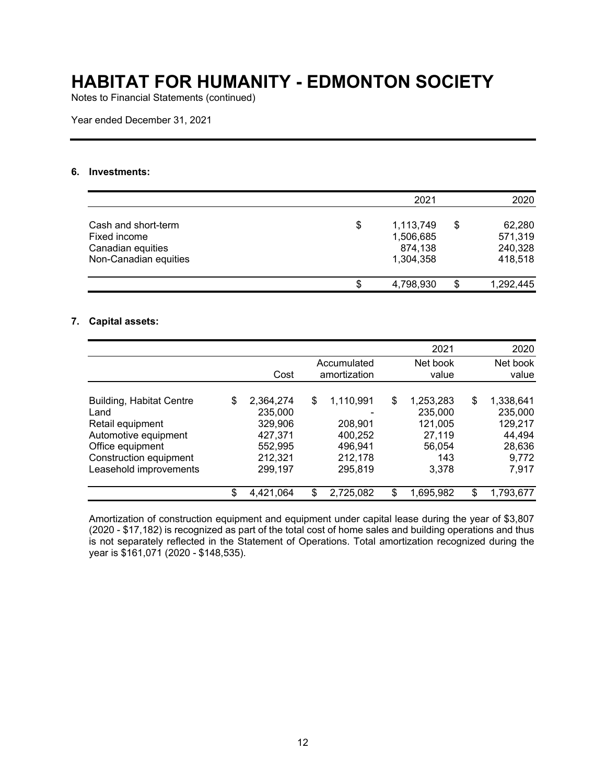Notes to Financial Statements (continued)

Year ended December 31, 2021

### **6. Investments:**

|                                                                                   | 2021                                                 | 2020                                          |
|-----------------------------------------------------------------------------------|------------------------------------------------------|-----------------------------------------------|
| Cash and short-term<br>Fixed income<br>Canadian equities<br>Non-Canadian equities | \$<br>1,113,749<br>1,506,685<br>874,138<br>1,304,358 | \$<br>62,280<br>571,319<br>240,328<br>418,518 |
|                                                                                   | 4,798,930                                            | \$<br>1,292,445                               |

### **7. Capital assets:**

|                                                                                                                                                             |                                                                                   |                                                                             |    | 2021                                                                | 2020                                                                        |
|-------------------------------------------------------------------------------------------------------------------------------------------------------------|-----------------------------------------------------------------------------------|-----------------------------------------------------------------------------|----|---------------------------------------------------------------------|-----------------------------------------------------------------------------|
|                                                                                                                                                             | Cost                                                                              | Accumulated<br>amortization                                                 |    | Net book<br>value                                                   | Net book<br>value                                                           |
| <b>Building, Habitat Centre</b><br>Land<br>Retail equipment<br>Automotive equipment<br>Office equipment<br>Construction equipment<br>Leasehold improvements | \$<br>2,364,274<br>235,000<br>329,906<br>427,371<br>552,995<br>212,321<br>299,197 | \$<br>1,110,991<br>۰<br>208,901<br>400,252<br>496,941<br>212,178<br>295,819 | \$ | 1,253,283<br>235,000<br>121,005<br>27,119<br>56,054<br>143<br>3,378 | \$<br>1.338.641<br>235,000<br>129,217<br>44,494<br>28,636<br>9,772<br>7,917 |
|                                                                                                                                                             | \$<br>4,421,064                                                                   | \$<br>2,725,082                                                             | S  | 1,695,982                                                           | \$<br>1,793,677                                                             |

Amortization of construction equipment and equipment under capital lease during the year of \$3,807 (2020 - \$17,182) is recognized as part of the total cost of home sales and building operations and thus is not separately reflected in the Statement of Operations. Total amortization recognized during the year is \$161,071 (2020 - \$148,535).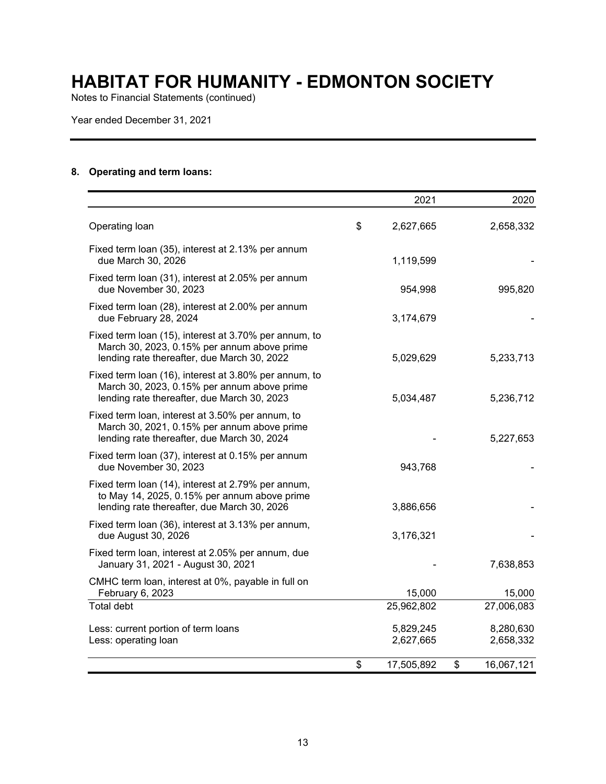Notes to Financial Statements (continued)

Year ended December 31, 2021

### **8. Operating and term loans:**

|                                                                                                                                                     | 2021                   | 2020                   |
|-----------------------------------------------------------------------------------------------------------------------------------------------------|------------------------|------------------------|
| Operating loan                                                                                                                                      | \$<br>2,627,665        | 2,658,332              |
| Fixed term loan (35), interest at 2.13% per annum<br>due March 30, 2026                                                                             | 1,119,599              |                        |
| Fixed term loan (31), interest at 2.05% per annum<br>due November 30, 2023                                                                          | 954,998                | 995,820                |
| Fixed term loan (28), interest at 2.00% per annum<br>due February 28, 2024                                                                          | 3,174,679              |                        |
| Fixed term loan (15), interest at 3.70% per annum, to<br>March 30, 2023, 0.15% per annum above prime<br>lending rate thereafter, due March 30, 2022 | 5,029,629              | 5,233,713              |
| Fixed term loan (16), interest at 3.80% per annum, to<br>March 30, 2023, 0.15% per annum above prime<br>lending rate thereafter, due March 30, 2023 | 5,034,487              | 5,236,712              |
| Fixed term loan, interest at 3.50% per annum, to<br>March 30, 2021, 0.15% per annum above prime<br>lending rate thereafter, due March 30, 2024      |                        | 5,227,653              |
| Fixed term loan (37), interest at 0.15% per annum<br>due November 30, 2023                                                                          | 943,768                |                        |
| Fixed term loan (14), interest at 2.79% per annum,<br>to May 14, 2025, 0.15% per annum above prime<br>lending rate thereafter, due March 30, 2026   | 3,886,656              |                        |
| Fixed term loan (36), interest at 3.13% per annum,<br>due August 30, 2026                                                                           | 3,176,321              |                        |
| Fixed term loan, interest at 2.05% per annum, due<br>January 31, 2021 - August 30, 2021                                                             |                        | 7,638,853              |
| CMHC term loan, interest at 0%, payable in full on<br>February 6, 2023                                                                              | 15,000                 | 15,000                 |
| <b>Total debt</b>                                                                                                                                   | 25,962,802             | 27,006,083             |
| Less: current portion of term loans<br>Less: operating loan                                                                                         | 5,829,245<br>2,627,665 | 8,280,630<br>2,658,332 |
|                                                                                                                                                     | \$<br>17,505,892       | \$<br>16,067,121       |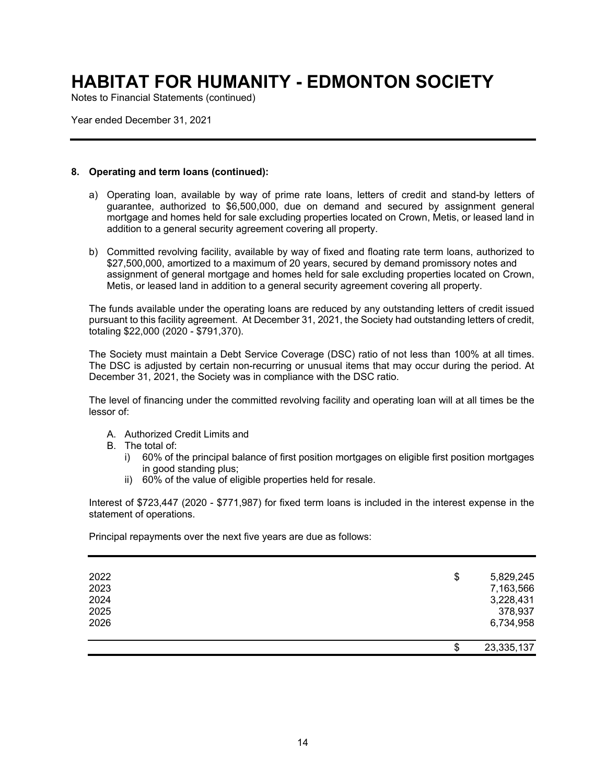Notes to Financial Statements (continued)

Year ended December 31, 2021

### **8. Operating and term loans (continued):**

- a) Operating loan, available by way of prime rate loans, letters of credit and stand-by letters of guarantee, authorized to \$6,500,000, due on demand and secured by assignment general mortgage and homes held for sale excluding properties located on Crown, Metis, or leased land in addition to a general security agreement covering all property.
- b) Committed revolving facility, available by way of fixed and floating rate term loans, authorized to \$27,500,000, amortized to a maximum of 20 years, secured by demand promissory notes and assignment of general mortgage and homes held for sale excluding properties located on Crown, Metis, or leased land in addition to a general security agreement covering all property.

The funds available under the operating loans are reduced by any outstanding letters of credit issued pursuant to this facility agreement. At December 31, 2021, the Society had outstanding letters of credit, totaling \$22,000 (2020 - \$791,370).

The Society must maintain a Debt Service Coverage (DSC) ratio of not less than 100% at all times. The DSC is adjusted by certain non-recurring or unusual items that may occur during the period. At December 31, 2021, the Society was in compliance with the DSC ratio.

The level of financing under the committed revolving facility and operating loan will at all times be the lessor of:

- A. Authorized Credit Limits and
- B. The total of:
	- i) 60% of the principal balance of first position mortgages on eligible first position mortgages in good standing plus;
	- ii) 60% of the value of eligible properties held for resale.

Interest of \$723,447 (2020 - \$771,987) for fixed term loans is included in the interest expense in the statement of operations.

Principal repayments over the next five years are due as follows:

| 2022<br>2023 | \$ | 5,829,245<br>7,163,566 |
|--------------|----|------------------------|
| 2024<br>2025 |    | 3,228,431<br>378,937   |
| 2026         |    | 6,734,958              |
|              | S  | 23,335,137             |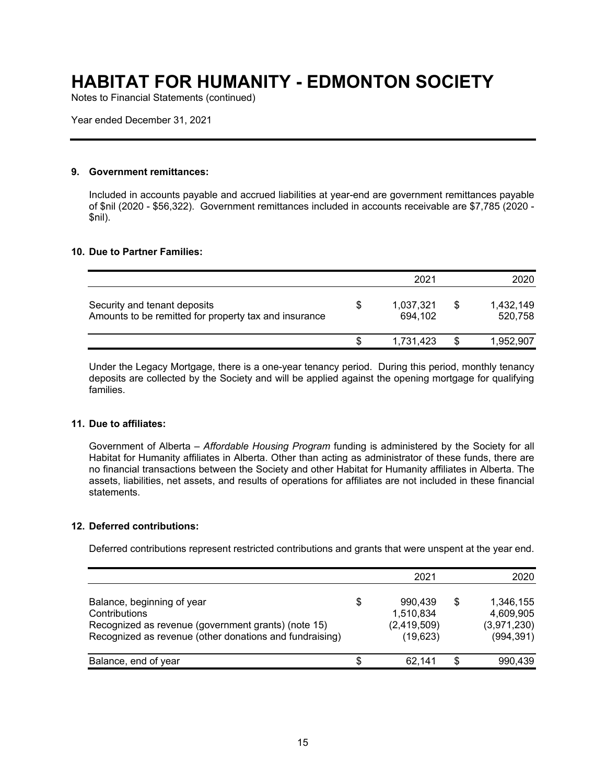Notes to Financial Statements (continued)

Year ended December 31, 2021

### **9. Government remittances:**

Included in accounts payable and accrued liabilities at year-end are government remittances payable of \$nil (2020 - \$56,322). Government remittances included in accounts receivable are \$7,785 (2020 - \$nil).

#### **10. Due to Partner Families:**

|                                                                                       |   | 2021                 |     | 2020                 |
|---------------------------------------------------------------------------------------|---|----------------------|-----|----------------------|
| Security and tenant deposits<br>Amounts to be remitted for property tax and insurance | S | 1,037,321<br>694,102 | \$. | 1,432,149<br>520,758 |
|                                                                                       |   | 1,731,423            |     | 1,952,907            |

Under the Legacy Mortgage, there is a one-year tenancy period. During this period, monthly tenancy deposits are collected by the Society and will be applied against the opening mortgage for qualifying families.

### **11. Due to affiliates:**

Government of Alberta – *Affordable Housing Program* funding is administered by the Society for all Habitat for Humanity affiliates in Alberta. Other than acting as administrator of these funds, there are no financial transactions between the Society and other Habitat for Humanity affiliates in Alberta. The assets, liabilities, net assets, and results of operations for affiliates are not included in these financial statements.

### **12. Deferred contributions:**

Deferred contributions represent restricted contributions and grants that were unspent at the year end.

|                                                                                                                                                               |   | 2021                                             | 2020                                                      |
|---------------------------------------------------------------------------------------------------------------------------------------------------------------|---|--------------------------------------------------|-----------------------------------------------------------|
| Balance, beginning of year<br>Contributions<br>Recognized as revenue (government grants) (note 15)<br>Recognized as revenue (other donations and fundraising) | S | 990.439<br>1,510,834<br>(2,419,509)<br>(19, 623) | \$<br>1,346,155<br>4,609,905<br>(3,971,230)<br>(994, 391) |
| Balance, end of year                                                                                                                                          |   | 62.141                                           | 990,439                                                   |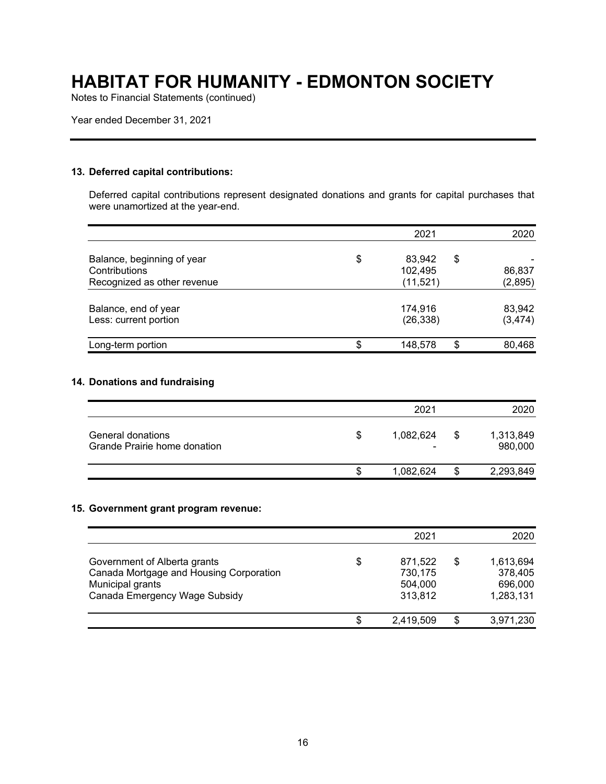Notes to Financial Statements (continued)

Year ended December 31, 2021

### **13. Deferred capital contributions:**

Deferred capital contributions represent designated donations and grants for capital purchases that were unamortized at the year-end.

|                             | 2021         |    | 2020     |
|-----------------------------|--------------|----|----------|
| Balance, beginning of year  | \$<br>83,942 | \$ |          |
| Contributions               | 102,495      |    | 86,837   |
| Recognized as other revenue | (11, 521)    |    | (2,895)  |
|                             |              |    |          |
| Balance, end of year        | 174,916      |    | 83,942   |
| Less: current portion       | (26, 338)    |    | (3, 474) |
| Long-term portion           | 148,578      | S  | 80,468   |

### **14. Donations and fundraising**

|                                                   | 2021            |    | 2020                 |
|---------------------------------------------------|-----------------|----|----------------------|
| General donations<br>Grande Prairie home donation | \$<br>1,082,624 | \$ | 1,313,849<br>980,000 |
|                                                   | \$<br>1,082,624 | S  | 2,293,849            |

### **15. Government grant program revenue:**

|                                                                                                                              |    | 2021                                     | 2020                                               |
|------------------------------------------------------------------------------------------------------------------------------|----|------------------------------------------|----------------------------------------------------|
| Government of Alberta grants<br>Canada Mortgage and Housing Corporation<br>Municipal grants<br>Canada Emergency Wage Subsidy | \$ | 871,522<br>730,175<br>504,000<br>313,812 | \$<br>1,613,694<br>378,405<br>696,000<br>1,283,131 |
|                                                                                                                              | S  | 2,419,509                                | \$<br>3,971,230                                    |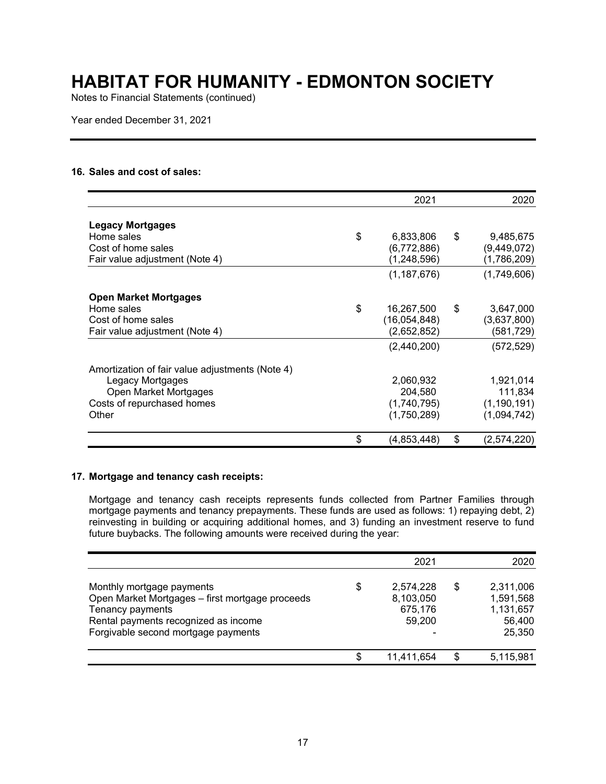Notes to Financial Statements (continued)

Year ended December 31, 2021

### **16. Sales and cost of sales:**

|                                                 | 2021              | 2020              |
|-------------------------------------------------|-------------------|-------------------|
| <b>Legacy Mortgages</b>                         |                   |                   |
| Home sales                                      | \$<br>6,833,806   | \$<br>9,485,675   |
| Cost of home sales                              | (6,772,886)       | (9,449,072)       |
| Fair value adjustment (Note 4)                  | (1, 248, 596)     | (1,786,209)       |
|                                                 | (1, 187, 676)     | (1,749,606)       |
| <b>Open Market Mortgages</b>                    |                   |                   |
| Home sales                                      | \$<br>16,267,500  | \$<br>3,647,000   |
| Cost of home sales                              | (16,054,848)      | (3,637,800)       |
| Fair value adjustment (Note 4)                  | (2,652,852)       | (581,729)         |
|                                                 | (2,440,200)       | (572,529)         |
| Amortization of fair value adjustments (Note 4) |                   |                   |
| Legacy Mortgages                                | 2,060,932         | 1,921,014         |
| Open Market Mortgages                           | 204,580           | 111,834           |
| Costs of repurchased homes                      | (1,740,795)       | (1, 190, 191)     |
| Other                                           | (1,750,289)       | (1,094,742)       |
|                                                 | \$<br>(4,853,448) | \$<br>(2,574,220) |

### **17. Mortgage and tenancy cash receipts:**

Mortgage and tenancy cash receipts represents funds collected from Partner Families through mortgage payments and tenancy prepayments. These funds are used as follows: 1) repaying debt, 2) reinvesting in building or acquiring additional homes, and 3) funding an investment reserve to fund future buybacks. The following amounts were received during the year:

|                                                                                                                                                                                 | 2021                                              |    | 2020                                                    |
|---------------------------------------------------------------------------------------------------------------------------------------------------------------------------------|---------------------------------------------------|----|---------------------------------------------------------|
| Monthly mortgage payments<br>Open Market Mortgages - first mortgage proceeds<br>Tenancy payments<br>Rental payments recognized as income<br>Forgivable second mortgage payments | \$<br>2,574,228<br>8,103,050<br>675,176<br>59,200 | \$ | 2,311,006<br>1,591,568<br>1,131,657<br>56,400<br>25,350 |
|                                                                                                                                                                                 | 11,411,654                                        | S  | 5,115,981                                               |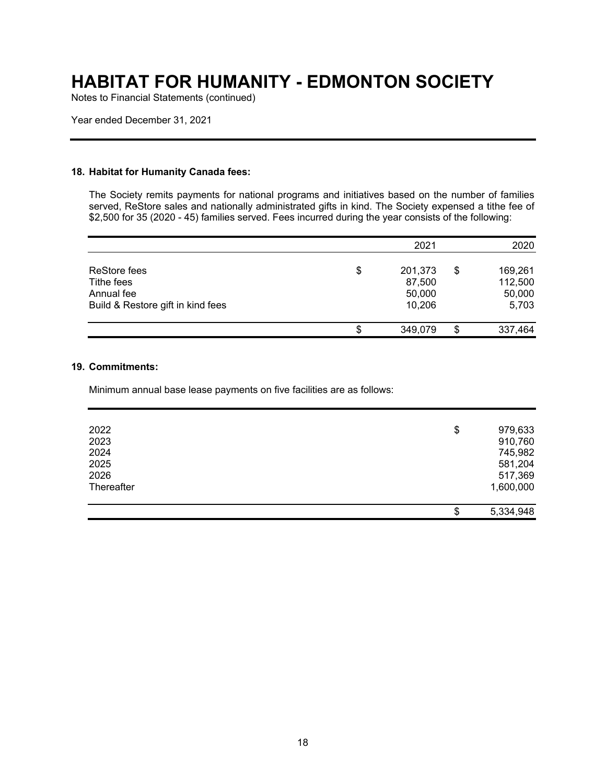Notes to Financial Statements (continued)

Year ended December 31, 2021

### **18. Habitat for Humanity Canada fees:**

The Society remits payments for national programs and initiatives based on the number of families served, ReStore sales and nationally administrated gifts in kind. The Society expensed a tithe fee of \$2,500 for 35 (2020 - 45) families served. Fees incurred during the year consists of the following:

|                                                                               | 2021                                        | 2020                                        |
|-------------------------------------------------------------------------------|---------------------------------------------|---------------------------------------------|
| ReStore fees<br>Tithe fees<br>Annual fee<br>Build & Restore gift in kind fees | \$<br>201,373<br>87,500<br>50,000<br>10,206 | \$<br>169,261<br>112,500<br>50,000<br>5,703 |
|                                                                               | 349,079                                     | \$<br>337,464                               |

### **19. Commitments:**

Minimum annual base lease payments on five facilities are as follows:

| 2022       | \$<br>979,633   |
|------------|-----------------|
| 2023       | 910,760         |
| 2024       | 745,982         |
| 2025       | 581,204         |
| 2026       | 517,369         |
| Thereafter | 1,600,000       |
|            |                 |
|            | \$<br>5,334,948 |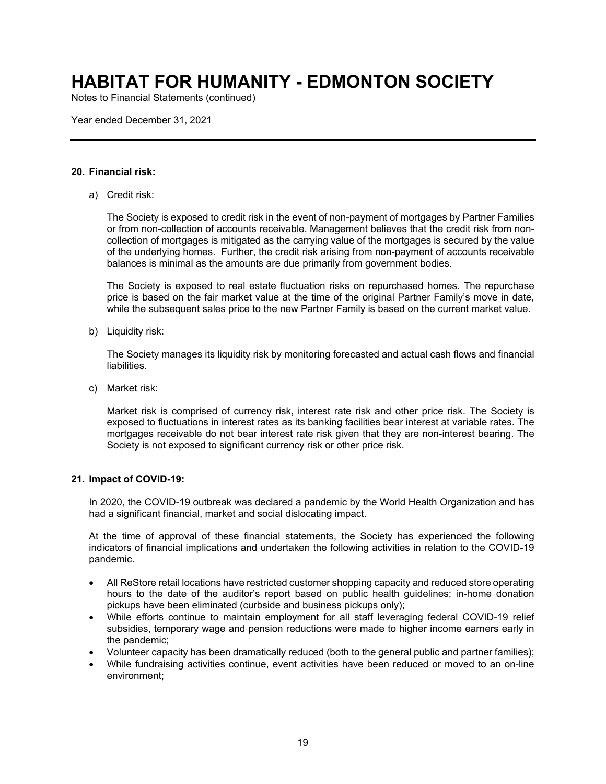Notes to Financial Statements (continued)

Year ended December 31, 2021

### **20. Financial risk:**

a) Credit risk:

The Society is exposed to credit risk in the event of non-payment of mortgages by Partner Families or from non-collection of accounts receivable. Management believes that the credit risk from noncollection of mortgages is mitigated as the carrying value of the mortgages is secured by the value of the underlying homes. Further, the credit risk arising from non-payment of accounts receivable balances is minimal as the amounts are due primarily from government bodies.

The Society is exposed to real estate fluctuation risks on repurchased homes. The repurchase price is based on the fair market value at the time of the original Partner Family's move in date, while the subsequent sales price to the new Partner Family is based on the current market value.

b) Liquidity risk:

The Society manages its liquidity risk by monitoring forecasted and actual cash flows and financial liabilities.

c) Market risk:

Market risk is comprised of currency risk, interest rate risk and other price risk. The Society is exposed to fluctuations in interest rates as its banking facilities bear interest at variable rates. The mortgages receivable do not bear interest rate risk given that they are non-interest bearing. The Society is not exposed to significant currency risk or other price risk.

### **21. Impact of COVID-19:**

In 2020, the COVID-19 outbreak was declared a pandemic by the World Health Organization and has had a significant financial, market and social dislocating impact.

At the time of approval of these financial statements, the Society has experienced the following indicators of financial implications and undertaken the following activities in relation to the COVID-19 pandemic.

- All ReStore retail locations have restricted customer shopping capacity and reduced store operating hours to the date of the auditor's report based on public health guidelines; in-home donation pickups have been eliminated (curbside and business pickups only);
- While efforts continue to maintain employment for all staff leveraging federal COVID-19 relief subsidies, temporary wage and pension reductions were made to higher income earners early in the pandemic;
- Volunteer capacity has been dramatically reduced (both to the general public and partner families);
- While fundraising activities continue, event activities have been reduced or moved to an on-line environment;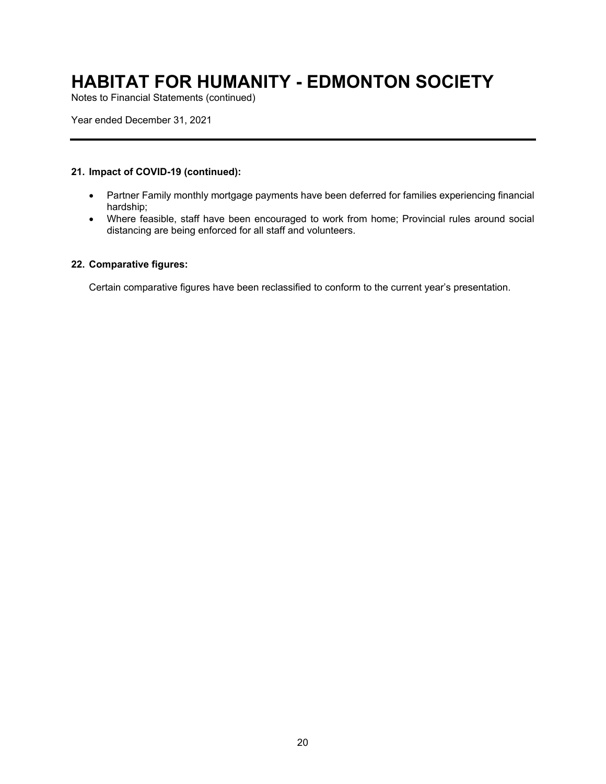Notes to Financial Statements (continued)

Year ended December 31, 2021

### **21. Impact of COVID-19 (continued):**

- Partner Family monthly mortgage payments have been deferred for families experiencing financial hardship;
- Where feasible, staff have been encouraged to work from home; Provincial rules around social distancing are being enforced for all staff and volunteers.

#### **22. Comparative figures:**

Certain comparative figures have been reclassified to conform to the current year's presentation.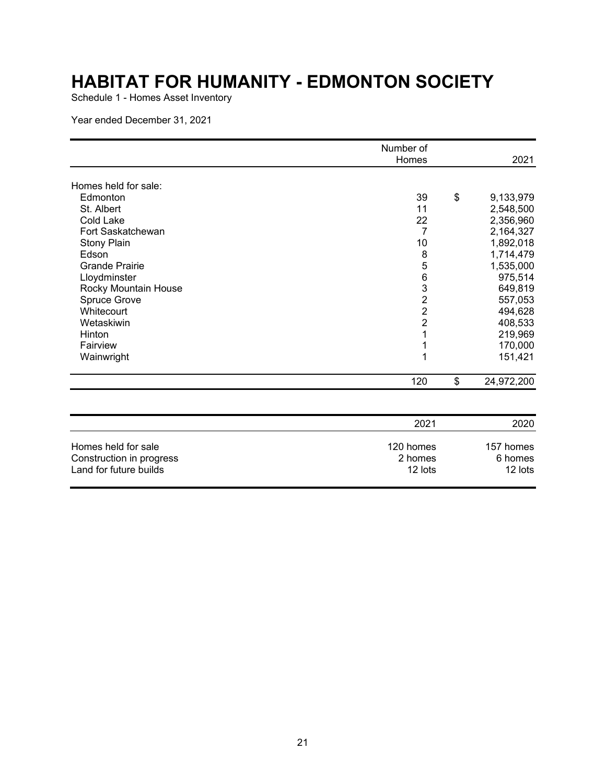Schedule 1 - Homes Asset Inventory

Year ended December 31, 2021

|                          | Number of<br>Homes | 2021             |
|--------------------------|--------------------|------------------|
|                          |                    |                  |
| Homes held for sale:     |                    |                  |
| Edmonton                 | 39                 | \$<br>9,133,979  |
| St. Albert               | 11                 | 2,548,500        |
| <b>Cold Lake</b>         | 22                 | 2,356,960        |
| Fort Saskatchewan        | $\overline{7}$     | 2,164,327        |
| <b>Stony Plain</b>       | 10                 | 1,892,018        |
| Edson                    | 8                  | 1,714,479        |
| <b>Grande Prairie</b>    | 5                  | 1,535,000        |
| Lloydminster             | $\,6$              | 975,514          |
| Rocky Mountain House     | 3                  | 649,819          |
| <b>Spruce Grove</b>      | $\overline{2}$     | 557,053          |
| Whitecourt               | $\overline{2}$     | 494,628          |
| Wetaskiwin               | $\overline{2}$     | 408,533          |
| Hinton                   | 1                  | 219,969          |
| Fairview                 | 1                  | 170,000          |
| Wainwright               | 1                  | 151,421          |
|                          | 120                | \$<br>24,972,200 |
|                          |                    |                  |
|                          | 2021               | 2020             |
| Homes held for sale      | 120 homes          | 157 homes        |
| Construction in progress | 2 homes            | 6 homes          |
| Land for future builds   | 12 lots            | 12 lots          |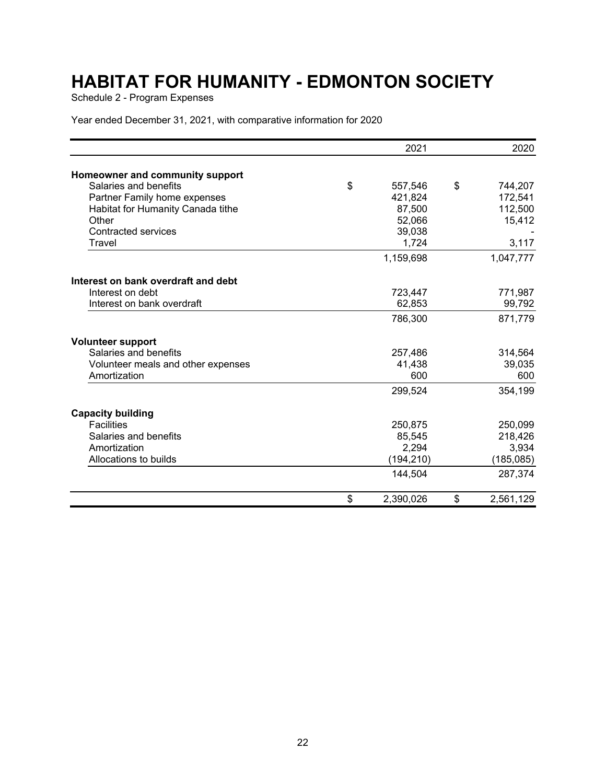Schedule 2 - Program Expenses

Year ended December 31, 2021, with comparative information for 2020

|                                     | 2021            | 2020            |
|-------------------------------------|-----------------|-----------------|
|                                     |                 |                 |
| Homeowner and community support     |                 |                 |
| Salaries and benefits               | \$<br>557,546   | \$<br>744,207   |
| Partner Family home expenses        | 421,824         | 172,541         |
| Habitat for Humanity Canada tithe   | 87,500          | 112,500         |
| Other                               | 52,066          | 15,412          |
| <b>Contracted services</b>          | 39,038          |                 |
| Travel                              | 1,724           | 3,117           |
|                                     | 1,159,698       | 1,047,777       |
| Interest on bank overdraft and debt |                 |                 |
| Interest on debt                    | 723,447         | 771,987         |
| Interest on bank overdraft          | 62,853          | 99,792          |
|                                     | 786,300         | 871,779         |
| <b>Volunteer support</b>            |                 |                 |
| Salaries and benefits               | 257,486         | 314,564         |
| Volunteer meals and other expenses  | 41,438          | 39,035          |
| Amortization                        | 600             | 600             |
|                                     | 299,524         | 354,199         |
| <b>Capacity building</b>            |                 |                 |
| <b>Facilities</b>                   | 250,875         | 250,099         |
| Salaries and benefits               | 85,545          | 218,426         |
| Amortization                        | 2,294           | 3,934           |
| Allocations to builds               | (194, 210)      | (185, 085)      |
|                                     | 144,504         | 287,374         |
|                                     | \$<br>2,390,026 | \$<br>2,561,129 |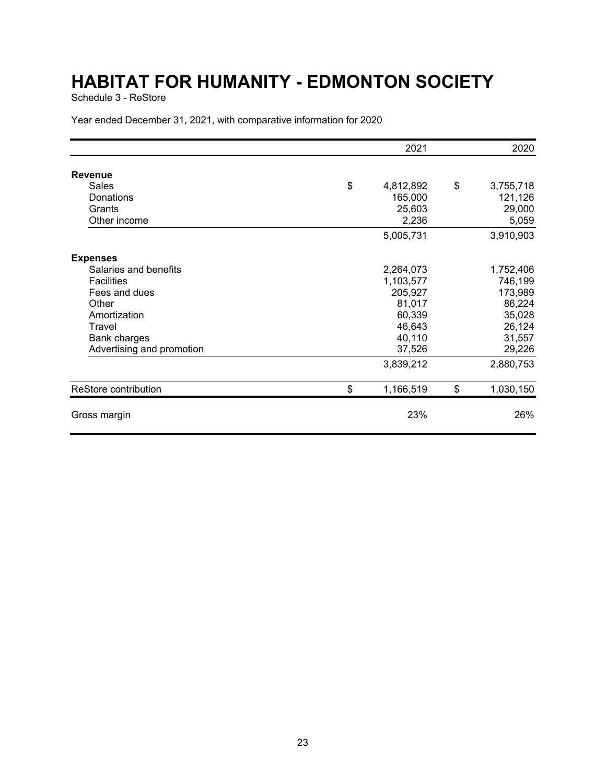Schedule 3 - ReStore

Year ended December 31, 2021, with comparative information for 2020

|                           | 2021            | 2020            |
|---------------------------|-----------------|-----------------|
| <b>Revenue</b>            |                 |                 |
| Sales                     | \$<br>4,812,892 | \$<br>3,755,718 |
| Donations                 | 165,000         | 121,126         |
| Grants                    | 25,603          | 29,000          |
| Other income              | 2,236           | 5,059           |
|                           | 5,005,731       | 3,910,903       |
| <b>Expenses</b>           |                 |                 |
| Salaries and benefits     | 2,264,073       | 1,752,406       |
| <b>Facilities</b>         | 1,103,577       | 746,199         |
| Fees and dues             | 205,927         | 173,989         |
| Other                     | 81,017          | 86,224          |
| Amortization              | 60,339          | 35,028          |
| Travel                    | 46,643          | 26,124          |
| Bank charges              | 40,110          | 31,557          |
| Advertising and promotion | 37,526          | 29,226          |
|                           | 3,839,212       | 2,880,753       |
| ReStore contribution      | \$<br>1,166,519 | \$<br>1,030,150 |
| Gross margin              | 23%             | 26%             |